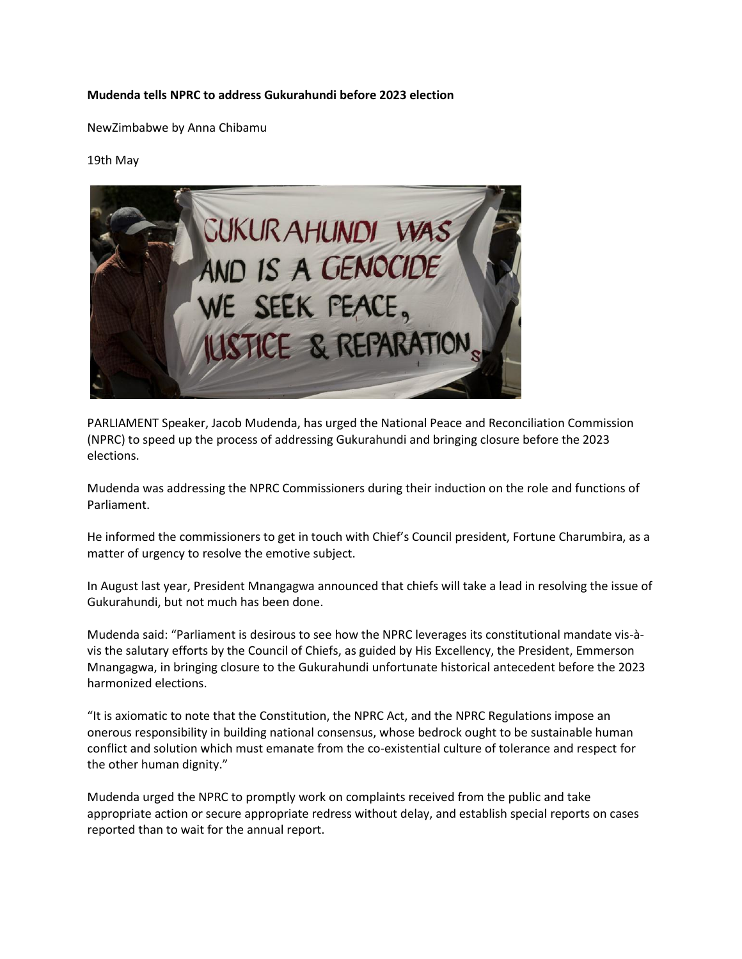## **Mudenda tells NPRC to address Gukurahundi before 2023 election**

NewZimbabwe by Anna Chibamu

## 19th May



PARLIAMENT Speaker, Jacob Mudenda, has urged the National Peace and Reconciliation Commission (NPRC) to speed up the process of addressing Gukurahundi and bringing closure before the 2023 elections.

Mudenda was addressing the NPRC Commissioners during their induction on the role and functions of Parliament.

He informed the commissioners to get in touch with Chief's Council president, Fortune Charumbira, as a matter of urgency to resolve the emotive subject.

In August last year, President Mnangagwa announced that chiefs will take a lead in resolving the issue of Gukurahundi, but not much has been done.

Mudenda said: "Parliament is desirous to see how the NPRC leverages its constitutional mandate vis-àvis the salutary efforts by the Council of Chiefs, as guided by His Excellency, the President, Emmerson Mnangagwa, in bringing closure to the Gukurahundi unfortunate historical antecedent before the 2023 harmonized elections.

"It is axiomatic to note that the Constitution, the NPRC Act, and the NPRC Regulations impose an onerous responsibility in building national consensus, whose bedrock ought to be sustainable human conflict and solution which must emanate from the co-existential culture of tolerance and respect for the other human dignity."

Mudenda urged the NPRC to promptly work on complaints received from the public and take appropriate action or secure appropriate redress without delay, and establish special reports on cases reported than to wait for the annual report.